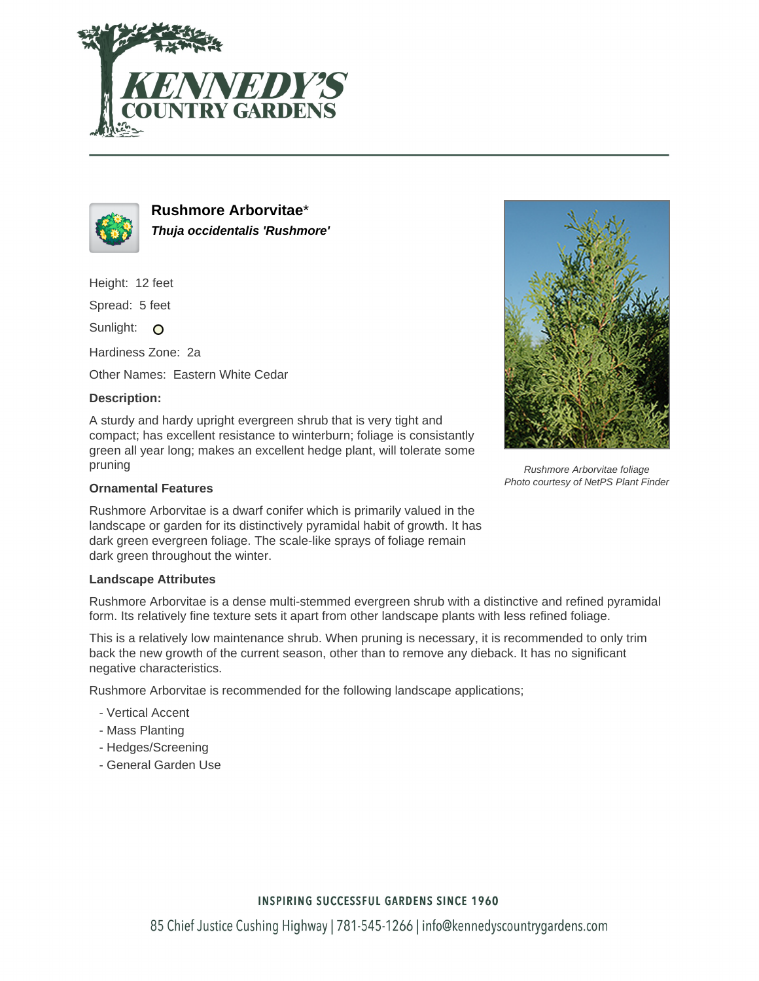



**Rushmore Arborvitae**\* **Thuja occidentalis 'Rushmore'**

Height: 12 feet

Spread: 5 feet

Sunlight: O

Hardiness Zone: 2a

Other Names: Eastern White Cedar

## **Description:**

A sturdy and hardy upright evergreen shrub that is very tight and compact; has excellent resistance to winterburn; foliage is consistantly green all year long; makes an excellent hedge plant, will tolerate some pruning

## **Ornamental Features**

Rushmore Arborvitae is a dwarf conifer which is primarily valued in the landscape or garden for its distinctively pyramidal habit of growth. It has dark green evergreen foliage. The scale-like sprays of foliage remain dark green throughout the winter.

## **Landscape Attributes**

Rushmore Arborvitae is a dense multi-stemmed evergreen shrub with a distinctive and refined pyramidal form. Its relatively fine texture sets it apart from other landscape plants with less refined foliage.

This is a relatively low maintenance shrub. When pruning is necessary, it is recommended to only trim back the new growth of the current season, other than to remove any dieback. It has no significant negative characteristics.

Rushmore Arborvitae is recommended for the following landscape applications;

- Vertical Accent
- Mass Planting
- Hedges/Screening
- General Garden Use



Rushmore Arborvitae foliage Photo courtesy of NetPS Plant Finder